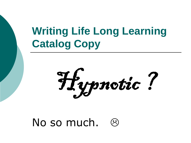# **Writing Life Long Learning Catalog Copy**

Hypnotic!

# No so much.  $\odot$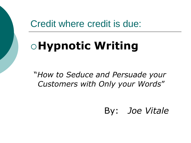### Credit where credit is due:

# **Hypnotic Writing**

"*How to Seduce and Persuade your Customers with Only your Words*"

By: *Joe Vitale*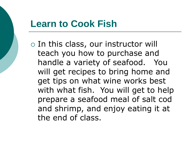# **Learn to Cook Fish**

 $\circ$  In this class, our instructor will teach you how to purchase and handle a variety of seafood. You will get recipes to bring home and get tips on what wine works best with what fish. You will get to help prepare a seafood meal of salt cod and shrimp, and enjoy eating it at the end of class.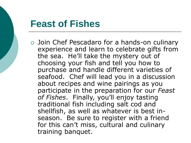### **Feast of Fishes**

 Join Chef Pescadaro for a hands-on culinary experience and learn to celebrate gifts from the sea. He'll take the mystery out of choosing your fish and tell you how to purchase and handle different varieties of seafood. Chef will lead you in a discussion about recipes and wine pairings as you participate in the preparation for our *Feast of Fishes*. Finally, you'll enjoy tasting traditional fish including salt cod and shellfish, as well as whatever is best inseason. Be sure to register with a friend for this can't miss, cultural and culinary training banquet.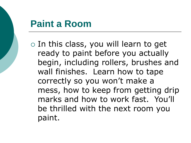## **Paint a Room**

 $\circ$  In this class, you will learn to get ready to paint before you actually begin, including rollers, brushes and wall finishes. Learn how to tape correctly so you won't make a mess, how to keep from getting drip marks and how to work fast. You'll be thrilled with the next room you paint.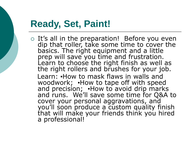# **Ready, Set, Paint!**

 $\circ$  It's all in the preparation! Before you even dip that roller, take some time to cover the basics. The right equipment and a little prep will save you time and frustration. Learn to choose the right finish as well as the right rollers and brushes for your job. Learn: **.**How to mask flaws in walls and woodwork; How to tape off with speed and precision; How to avoid drip marks and runs. We'll save some time for Q&A to cover your personal aggravations, and you'll soon produce a custom quality finish that will make your friends think you hired a professional!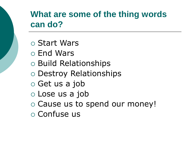### **What are some of the thing words can do?**

- Start Wars
- End Wars
- Build Relationships
- Destroy Relationships
- $\circ$  Get us a job
- Lose us a job
- o Cause us to spend our money!
- Confuse us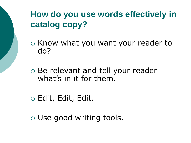# **How do you use words effectively in catalog copy?**

- $\circ$  Know what you want your reader to do?
- Be relevant and tell your reader what's in it for them.
- Edit, Edit, Edit.
- Use good writing tools.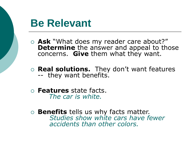# **Be Relevant**

- **Ask** "What does my reader care about?" **Determine** the answer and appeal to those concerns. **Give** them what they want.
- **Real solutions.** They don't want features -- they want benefits.
- **Features** state facts. *The car is white.*
- **Benefits** tells us why facts matter. *Studies show white cars have fewer accidents than other colors.*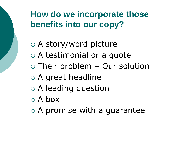# **How do we incorporate those benefits into our copy?**

- A story/word picture A testimonial or a quote  $\circ$  Their problem – Our solution
- A great headline
- A leading question
- A box
- $\circ$  A promise with a guarantee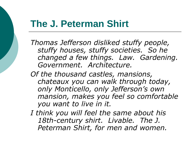#### **The J. Peterman Shirt**

*Thomas Jefferson disliked stuffy people, stuffy houses, stuffy societies. So he changed a few things. Law. Gardening. Government. Architecture.*

*Of the thousand castles, mansions, chateaux you can walk through today, only Monticello, only Jefferson's own mansion, makes you feel so comfortable you want to live in it.* 

*I think you will feel the same about his 18th-century shirt. Livable. The J. Peterman Shirt, for men and women.*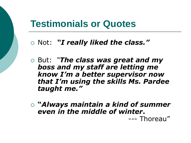### **Testimonials or Quotes**

Not: *"I really liked the class."*

- But: *"The class was great and my boss and my staff are letting me know I'm a better supervisor now that I'm using the skills Ms. Pardee taught me."*
- **"***Always maintain a kind of summer even in the middle of winter***.** --- Thoreau"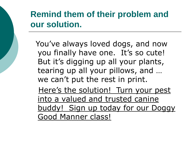## **Remind them of their problem and our solution.**

You've always loved dogs, and now you finally have one. It's so cute! But it's digging up all your plants, tearing up all your pillows, and … we can't put the rest in print. Here's the solution! Turn your pest into a valued and trusted canine buddy! Sign up today for our Doggy Good Manner class!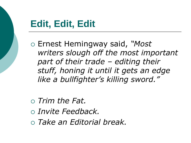# **Edit, Edit, Edit**

- Ernest Hemingway said, *"Most writers slough off the most important part of their trade – editing their stuff, honing it until it gets an edge like a bullfighter's killing sword."*
- *Trim the Fat. Invite Feedback. Take an Editorial break.*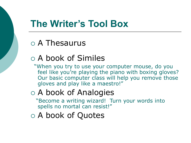# **The Writer's Tool Box**

#### A Thesaurus

#### A book of Similes

"When you try to use your computer mouse, do you feel like you're playing the piano with boxing gloves? Our basic computer class will help you remove those gloves and play like a maestro!"

### A book of Analogies

"Become a writing wizard! Turn your words into spells no mortal can resist!"

A book of Quotes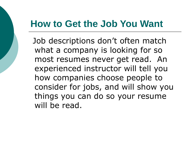# **How to Get the Job You Want**

Job descriptions don't often match what a company is looking for so most resumes never get read. An experienced instructor will tell you how companies choose people to consider for jobs, and will show you things you can do so your resume will be read.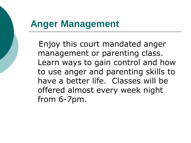## **Anger Management**

Enjoy this court mandated anger management or parenting class. Learn ways to gain control and how to use anger and parenting skills to have a better life. Classes will be offered almost every week night from 6-7pm.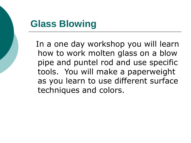# **Glass Blowing**

In a one day workshop you will learn how to work molten glass on a blow pipe and puntel rod and use specific tools. You will make a paperweight as you learn to use different surface techniques and colors.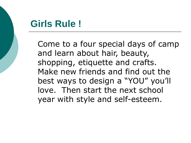# **Girls Rule !**

Come to a four special days of camp and learn about hair, beauty, shopping, etiquette and crafts. Make new friends and find out the best ways to design a "YOU" you'll love. Then start the next school year with style and self-esteem.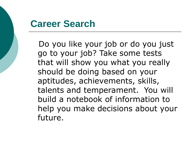### **Career Search**

Do you like your job or do you just go to your job? Take some tests that will show you what you really should be doing based on your aptitudes, achievements, skills, talents and temperament. You will build a notebook of information to help you make decisions about your future.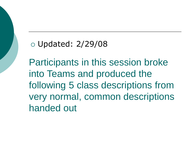#### Updated: 2/29/08

Participants in this session broke into Teams and produced the following 5 class descriptions from very normal, common descriptions handed out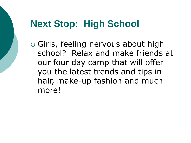# **Next Stop: High School**

 Girls, feeling nervous about high school? Relax and make friends at our four day camp that will offer you the latest trends and tips in hair, make-up fashion and much more!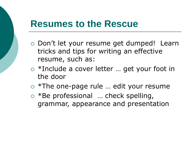#### **Resumes to the Rescue**

- Don't let your resume get dumped! Learn tricks and tips for writing an effective resume, such as:
- \*Include a cover letter … get your foot in the door
- \*The one-page rule … edit your resume
- \*Be professional … check spelling, grammar, appearance and presentation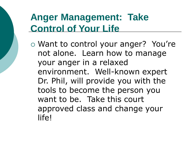# **Anger Management: Take Control of Your Life**

 Want to control your anger? You're not alone. Learn how to manage your anger in a relaxed environment. Well-known expert Dr. Phil, will provide you with the tools to become the person you want to be. Take this court approved class and change your life!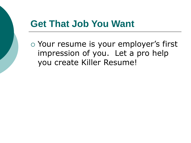# **Get That Job You Want**

 Your resume is your employer's first impression of you. Let a pro help you create Killer Resume!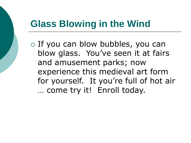# **Glass Blowing in the Wind**

 $\circ$  If you can blow bubbles, you can blow glass. You've seen it at fairs and amusement parks; now experience this medieval art form for yourself. It you're full of hot air … come try it! Enroll today.